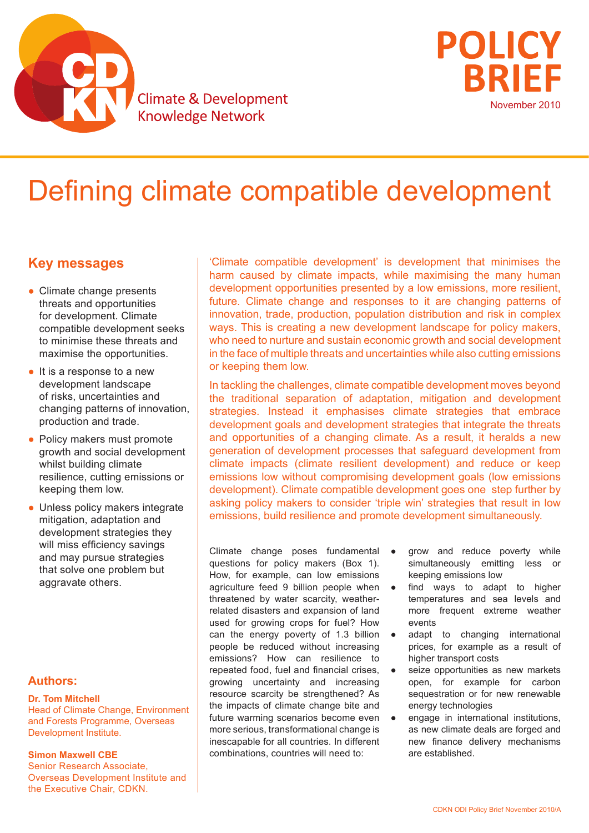



# Defining climate compatible development

# **Key messages**

- Climate change presents threats and opportunities for development. Climate compatible development seeks to minimise these threats and maximise the opportunities.
- $\bullet$  It is a response to a new development landscape of risks, uncertainties and changing patterns of innovation, production and trade.
- Policy makers must promote growth and social development whilst building climate resilience, cutting emissions or keeping them low.
- Unless policy makers integrate mitigation, adaptation and development strategies they will miss efficiency savings and may pursue strategies that solve one problem but aggravate others.

# **Authors:**

# **Dr. Tom Mitchell**

Head of Climate Change, Environment and Forests Programme, Overseas Development Institute.

# **Simon Maxwell CBE**

Senior Research Associate, Overseas Development Institute and the Executive Chair, CDKN.

'Climate compatible development' is development that minimises the harm caused by climate impacts, while maximising the many human development opportunities presented by a low emissions, more resilient, future. Climate change and responses to it are changing patterns of innovation, trade, production, population distribution and risk in complex ways. This is creating a new development landscape for policy makers, who need to nurture and sustain economic growth and social development in the face of multiple threats and uncertainties while also cutting emissions or keeping them low.

In tackling the challenges, climate compatible development moves beyond the traditional separation of adaptation, mitigation and development strategies. Instead it emphasises climate strategies that embrace development goals and development strategies that integrate the threats and opportunities of a changing climate. As a result, it heralds a new generation of development processes that safeguard development from climate impacts (climate resilient development) and reduce or keep emissions low without compromising development goals (low emissions development). Climate compatible development goes one step further by asking policy makers to consider 'triple win' strategies that result in low emissions, build resilience and promote development simultaneously.

Climate change poses fundamental  $\bullet$ questions for policy makers (Box 1). How, for example, can low emissions agriculture feed 9 billion people when threatened by water scarcity, weatherrelated disasters and expansion of land used for growing crops for fuel? How can the energy poverty of 1.3 billion people be reduced without increasing emissions? How can resilience to repeated food, fuel and financial crises, growing uncertainty and increasing resource scarcity be strengthened? As the impacts of climate change bite and future warming scenarios become even more serious, transformational change is inescapable for all countries. In different combinations, countries will need to:

- grow and reduce poverty while simultaneously emitting less or keeping emissions low
- find ways to adapt to higher temperatures and sea levels and more frequent extreme weather events
- adapt to changing international prices, for example as a result of higher transport costs
- seize opportunities as new markets open, for example for carbon sequestration or for new renewable energy technologies
- engage in international institutions, as new climate deals are forged and new finance delivery mechanisms are established.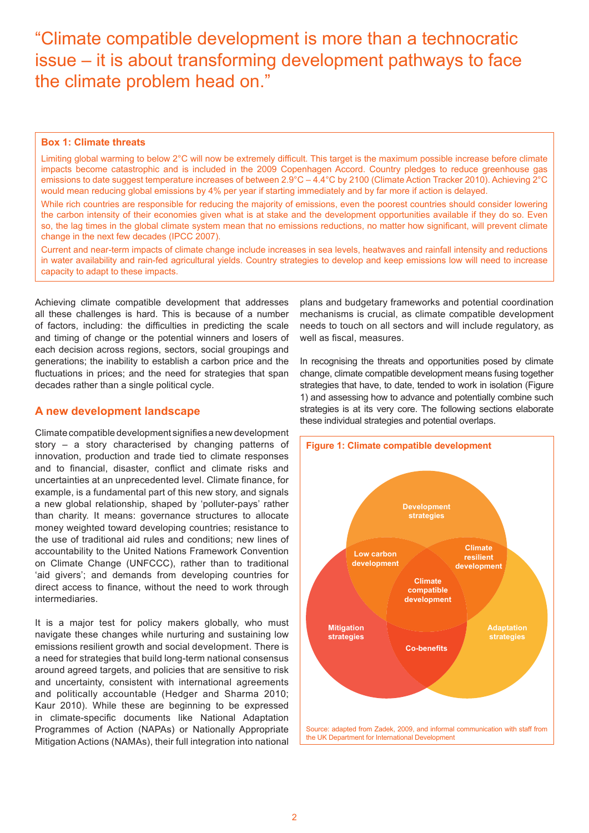"Climate compatible development is more than a technocratic issue – it is about transforming development pathways to face the climate problem head on."

### **Box 1: Climate threats**

Limiting global warming to below 2°C will now be extremely difficult. This target is the maximum possible increase before climate impacts become catastrophic and is included in the 2009 Copenhagen Accord. Country pledges to reduce greenhouse gas emissions to date suggest temperature increases of between 2.9°C – 4.4°C by 2100 (Climate Action Tracker 2010). Achieving 2°C would mean reducing global emissions by 4% per year if starting immediately and by far more if action is delayed.

While rich countries are responsible for reducing the majority of emissions, even the poorest countries should consider lowering the carbon intensity of their economies given what is at stake and the development opportunities available if they do so. Even so, the lag times in the global climate system mean that no emissions reductions, no matter how significant, will prevent climate change in the next few decades (IPCC 2007).

Current and near-term impacts of climate change include increases in sea levels, heatwaves and rainfall intensity and reductions in water availability and rain-fed agricultural yields. Country strategies to develop and keep emissions low will need to increase capacity to adapt to these impacts.

Achieving climate compatible development that addresses all these challenges is hard. This is because of a number of factors, including: the difficulties in predicting the scale and timing of change or the potential winners and losers of each decision across regions, sectors, social groupings and generations; the inability to establish a carbon price and the fluctuations in prices; and the need for strategies that span decades rather than a single political cycle.

### **A new development landscape**

Climate compatible development signifies a new development story – a story characterised by changing patterns of innovation, production and trade tied to climate responses and to financial, disaster, conflict and climate risks and uncertainties at an unprecedented level. Climate finance, for example, is a fundamental part of this new story, and signals a new global relationship, shaped by 'polluter-pays' rather than charity. It means: governance structures to allocate money weighted toward developing countries; resistance to the use of traditional aid rules and conditions; new lines of accountability to the United Nations Framework Convention on Climate Change (UNFCCC), rather than to traditional 'aid givers'; and demands from developing countries for direct access to finance, without the need to work through intermediaries.

It is a major test for policy makers globally, who must navigate these changes while nurturing and sustaining low emissions resilient growth and social development. There is a need for strategies that build long-term national consensus around agreed targets, and policies that are sensitive to risk and uncertainty, consistent with international agreements and politically accountable (Hedger and Sharma 2010; Kaur 2010). While these are beginning to be expressed in climate-specific documents like National Adaptation Programmes of Action (NAPAs) or Nationally Appropriate Mitigation Actions (NAMAs), their full integration into national

plans and budgetary frameworks and potential coordination mechanisms is crucial, as climate compatible development needs to touch on all sectors and will include regulatory, as well as fiscal, measures.

In recognising the threats and opportunities posed by climate change, climate compatible development means fusing together strategies that have, to date, tended to work in isolation (Figure 1) and assessing how to advance and potentially combine such strategies is at its very core. The following sections elaborate these individual strategies and potential overlaps.

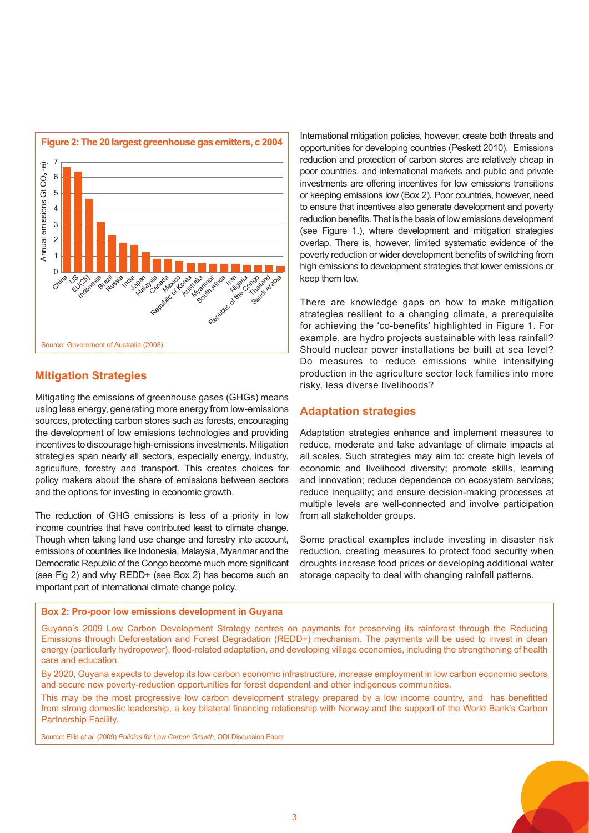

# **Mitigation Strategies**

Mitigating the emissions of greenhouse gases (GHGs) means using less energy, generating more energy from low-emissions sources, protecting carbon stores such as forests, encouraging the development of low emissions technologies and providing incentives to discourage high-emissions investments. Mitigation strategies span nearly all sectors, especially energy, industry, agriculture, forestry and transport. This creates choices for policy makers about the share of emissions between sectors and the options for investing in economic growth.

The reduction of GHG emissions is less of a priority in low income countries that have contributed least to climate change. Though when taking land use change and forestry into account, emissions of countries like Indonesia, Malaysia, Myanmar and the Democratic Republic of the Congo become much more significant (see Fig 2) and why REDD+ (see Box 2) has become such an important part of international climate change policy.

International mitigation policies, however, create both threats and opportunities for developing countries (Peskett 2010). Emissions reduction and protection of carbon stores are relatively cheap in poor countries, and international markets and public and private investments are offering incentives for low emissions transitions or keeping emissions low (Box 2). Poor countries, however, need to ensure that incentives also generate development and poverty reduction benefits. That is the basis of low emissions development (see Figure 1.), where development and mitigation strategies overlap. There is, however, limited systematic evidence of the poverty reduction or wider development benefits of switching from high emissions to development strategies that lower emissions or keep them low.

There are knowledge gaps on how to make mitigation strategies resilient to a changing climate, a prerequisite for achieving the 'co-benefits' highlighted in Figure 1. For example, are hydro projects sustainable with less rainfall? Should nuclear power installations be built at sea level? Do measures to reduce emissions while intensifying production in the agriculture sector lock families into more risky, less diverse livelihoods?

# **Adaptation strategies**

Adaptation strategies enhance and implement measures to reduce, moderate and take advantage of climate impacts at all scales. Such strategies may aim to: create high levels of economic and livelihood diversity; promote skills, learning and innovation; reduce dependence on ecosystem services; reduce inequality; and ensure decision-making processes at multiple levels are well-connected and involve participation from all stakeholder groups.

Some practical examples include investing in disaster risk reduction, creating measures to protect food security when droughts increase food prices or developing additional water storage capacity to deal with changing rainfall patterns.

#### **Box 2: Pro-poor low emissions development in Guyana**

Guyana's 2009 Low Carbon Development Strategy centres on payments for preserving its rainforest through the Reducing Emissions through Deforestation and Forest Degradation (REDD+) mechanism. The payments will be used to invest in clean energy (particularly hydropower), flood-related adaptation, and developing village economies, including the strengthening of health care and education.

By 2020, Guyana expects to develop its low carbon economic infrastructure, increase employment in low carbon economic sectors and secure new poverty-reduction opportunities for forest dependent and other indigenous communities.

This may be the most progressive low carbon development strategy prepared by a low income country, and has benefitted from strong domestic leadership, a key bilateral financing relationship with Norway and the support of the World Bank's Carbon Partnership Facility.

Source: Ellis *et al.* (2009) *Policies for Low Carbon Growth*, ODI Discussion Paper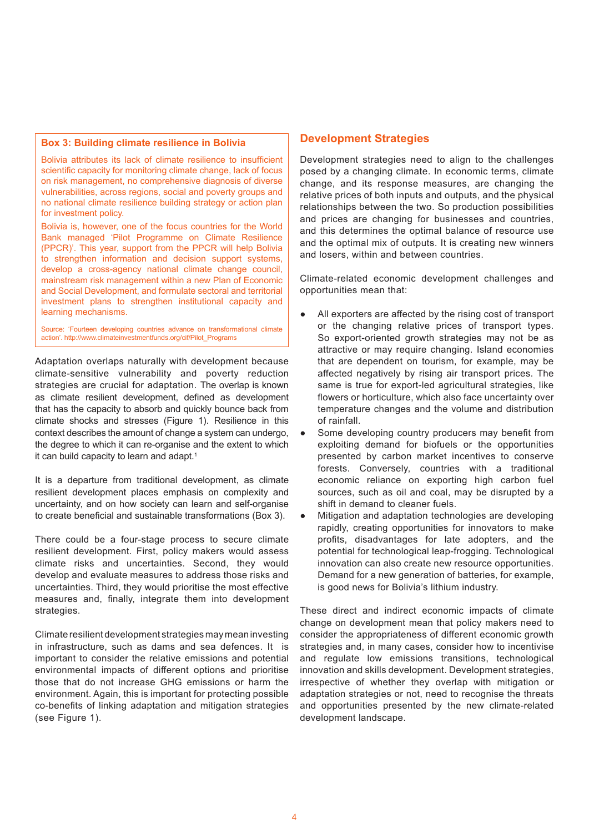### **Box 3: Building climate resilience in Bolivia**

Bolivia attributes its lack of climate resilience to insufficient scientific capacity for monitoring climate change, lack of focus on risk management, no comprehensive diagnosis of diverse vulnerabilities, across regions, social and poverty groups and no national climate resilience building strategy or action plan for investment policy.

Bolivia is, however, one of the focus countries for the World Bank managed 'Pilot Programme on Climate Resilience (PPCR)'. This year, support from the PPCR will help Bolivia to strengthen information and decision support systems, develop a cross-agency national climate change council, mainstream risk management within a new Plan of Economic and Social Development, and formulate sectoral and territorial investment plans to strengthen institutional capacity and learning mechanisms.

Source: 'Fourteen developing countries advance on transformational climate action'. http://www.climateinvestmentfunds.org/cif/Pilot\_Programs

Adaptation overlaps naturally with development because climate-sensitive vulnerability and poverty reduction strategies are crucial for adaptation. The overlap is known as climate resilient development, defined as development that has the capacity to absorb and quickly bounce back from climate shocks and stresses (Figure 1). Resilience in this context describes the amount of change a system can undergo, the degree to which it can re-organise and the extent to which it can build capacity to learn and adapt.<sup>1</sup>

It is a departure from traditional development, as climate resilient development places emphasis on complexity and uncertainty, and on how society can learn and self-organise to create beneficial and sustainable transformations (Box 3).

There could be a four-stage process to secure climate resilient development. First, policy makers would assess climate risks and uncertainties. Second, they would develop and evaluate measures to address those risks and uncertainties. Third, they would prioritise the most effective measures and, finally, integrate them into development strategies.

Climate resilient development strategies may mean investing in infrastructure, such as dams and sea defences. It is important to consider the relative emissions and potential environmental impacts of different options and prioritise those that do not increase GHG emissions or harm the environment. Again, this is important for protecting possible co-benefits of linking adaptation and mitigation strategies (see Figure 1).

# **Development Strategies**

Development strategies need to align to the challenges posed by a changing climate. In economic terms, climate change, and its response measures, are changing the relative prices of both inputs and outputs, and the physical relationships between the two. So production possibilities and prices are changing for businesses and countries, and this determines the optimal balance of resource use and the optimal mix of outputs. It is creating new winners and losers, within and between countries.

Climate-related economic development challenges and opportunities mean that:

- All exporters are affected by the rising cost of transport or the changing relative prices of transport types. So export-oriented growth strategies may not be as attractive or may require changing. Island economies that are dependent on tourism, for example, may be affected negatively by rising air transport prices. The same is true for export-led agricultural strategies, like flowers or horticulture, which also face uncertainty over temperature changes and the volume and distribution of rainfall.
- Some developing country producers may benefit from exploiting demand for biofuels or the opportunities presented by carbon market incentives to conserve forests. Conversely, countries with a traditional economic reliance on exporting high carbon fuel sources, such as oil and coal, may be disrupted by a shift in demand to cleaner fuels.
- Mitigation and adaptation technologies are developing rapidly, creating opportunities for innovators to make profits, disadvantages for late adopters, and the potential for technological leap-frogging. Technological innovation can also create new resource opportunities. Demand for a new generation of batteries, for example, is good news for Bolivia's lithium industry.

These direct and indirect economic impacts of climate change on development mean that policy makers need to consider the appropriateness of different economic growth strategies and, in many cases, consider how to incentivise and regulate low emissions transitions, technological innovation and skills development. Development strategies, irrespective of whether they overlap with mitigation or adaptation strategies or not, need to recognise the threats and opportunities presented by the new climate-related development landscape.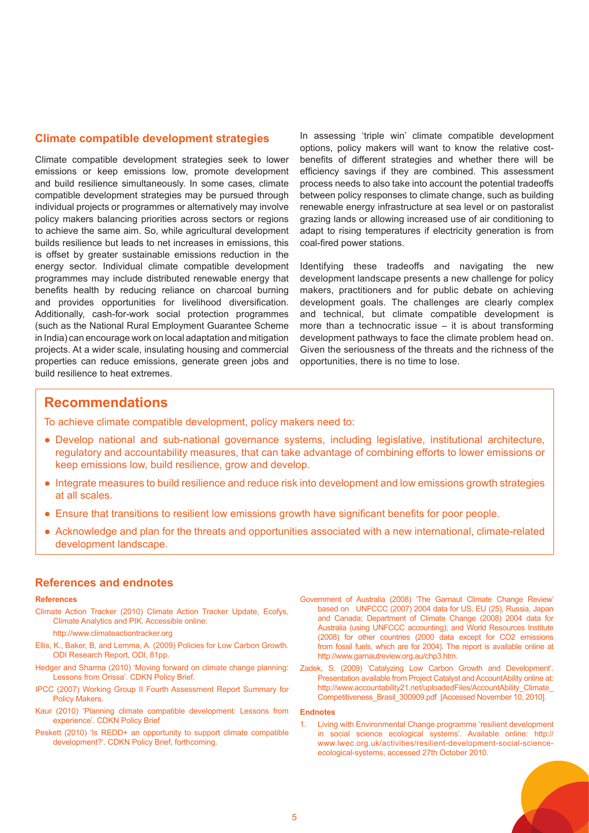# **Climate compatible development strategies**

Climate compatible development strategies seek to lower emissions or keep emissions low, promote development and build resilience simultaneously. In some cases, climate compatible development strategies may be pursued through individual projects or programmes or alternatively may involve policy makers balancing priorities across sectors or regions to achieve the same aim. So, while agricultural development builds resilience but leads to net increases in emissions, this is offset by greater sustainable emissions reduction in the energy sector. Individual climate compatible development programmes may include distributed renewable energy that benefits health by reducing reliance on charcoal burning and provides opportunities for livelihood diversification. Additionally, cash-for-work social protection programmes (such as the National Rural Employment Guarantee Scheme in India) can encourage work on local adaptation and mitigation projects. At a wider scale, insulating housing and commercial properties can reduce emissions, generate green jobs and build resilience to heat extremes.

In assessing 'triple win' climate compatible development options, policy makers will want to know the relative costbenefits of different strategies and whether there will be efficiency savings if they are combined. This assessment process needs to also take into account the potential tradeoffs between policy responses to climate change, such as building renewable energy infrastructure at sea level or on pastoralist grazing lands or allowing increased use of air conditioning to adapt to rising temperatures if electricity generation is from coal-fired power stations.

Identifying these tradeoffs and navigating the new development landscape presents a new challenge for policy makers, practitioners and for public debate on achieving development goals. The challenges are clearly complex and technical, but climate compatible development is more than a technocratic issue  $-$  it is about transforming development pathways to face the climate problem head on. Given the seriousness of the threats and the richness of the opportunities, there is no time to lose.

# **Recommendations**

To achieve climate compatible development, policy makers need to:

- Develop national and sub-national governance systems, including legislative, institutional architecture, regulatory and accountability measures, that can take advantage of combining efforts to lower emissions or keep emissions low, build resilience, grow and develop.
- Integrate measures to build resilience and reduce risk into development and low emissions growth strategies at all scales.
- Ensure that transitions to resilient low emissions growth have significant benefits for poor people.
- Acknowledge and plan for the threats and opportunities associated with a new international, climate-related development landscape.

# **References and endnotes**

#### **References**

Climate Action Tracker (2010) Climate Action Tracker Update, Ecofys, Climate Analytics and PIK. Accessible online:

#### http://www.climateactiontracker.org

- Ellis, K., Baker, B, and Lemma, A. (2009) Policies for Low Carbon Growth. ODI Research Report, ODI, 81pp.
- Hedger and Sharma (2010) 'Moving forward on climate change planning: Lessons from Orissa'. CDKN Policy Brief.
- IPCC (2007) Working Group II Fourth Assessment Report Summary for Policy Makers.
- Kaur (2010) 'Planning climate compatible development: Lessons from experience'. CDKN Policy Brief
- Peskett (2010) 'Is REDD+ an opportunity to support climate compatible development?'. CDKN Policy Brief, forthcoming.
- Government of Australia (2008) 'The Garnaut Climate Change Review' based on UNFCCC (2007) 2004 data for US, EU (25), Russia, Japan and Canada; Department of Climate Change (2008) 2004 data for Australia (using UNFCCC accounting); and World Resources Institute (2008) for other countries (2000 data except for CO2 emissions from fossil fuels, which are for 2004). The report is available online at http://www.garnautreview.org.au/chp3.htm.

Zadek, S. (2009) 'Catalyzing Low Carbon Growth and Development'. Presentation available from Project Catalyst and AccountAbility online at: http://www.accountability21.net/uploadedFiles/AccountAbility\_Climate\_ Competitiveness\_Brasil\_300909.pdf [Accessed November 10, 2010].

#### **Endnotes**

Living with Environmental Change programme 'resilient development in social science ecological systems'. Available online: http:// www.lwec.org.uk/activities/resilient-development-social-scienceecological-systems, accessed 27th October 2010.